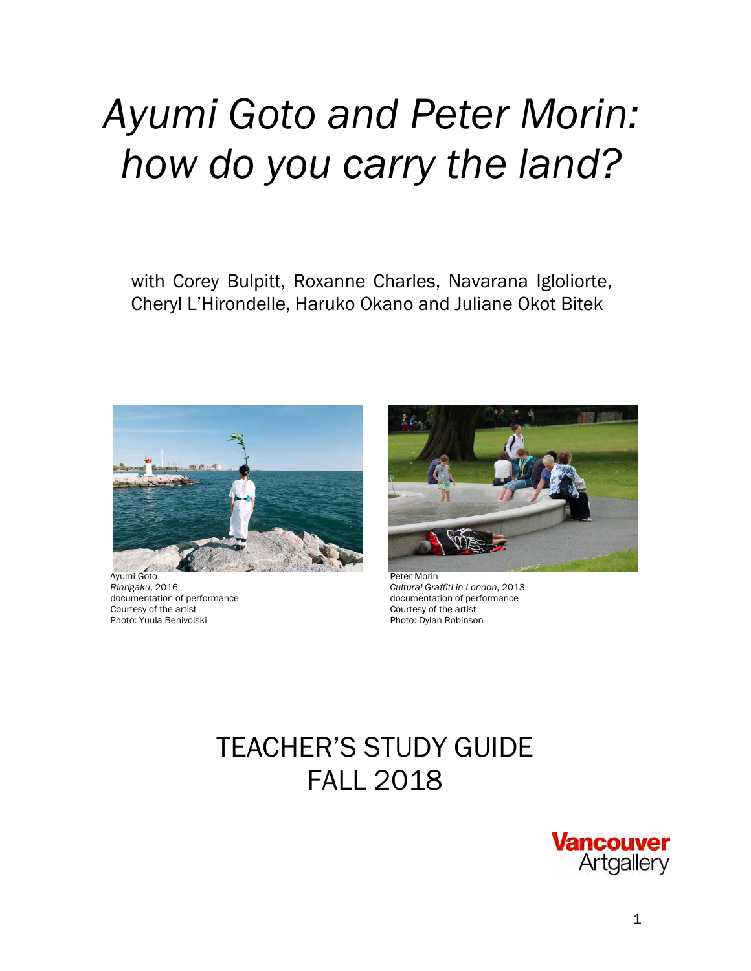# *Ayumi Goto and Peter Morin: how do you carry the land?*

with Corey Bulpitt, Roxanne Charles, Navarana Igloliorte, Cheryl L'Hirondelle, Haruko Okano and Juliane Okot Bitek



Ayumi Goto Peter Morin Courtesy of the artist<br>Photo: Yuula Benivolski



*Rinrigaku*, 2016 *Cultural Graffiti in London*, 2013 documentation of performance<br>Courtesy of the artist Photo: Dylan Robinson

## TEACHER'S STUDY GUIDE FALL 2018

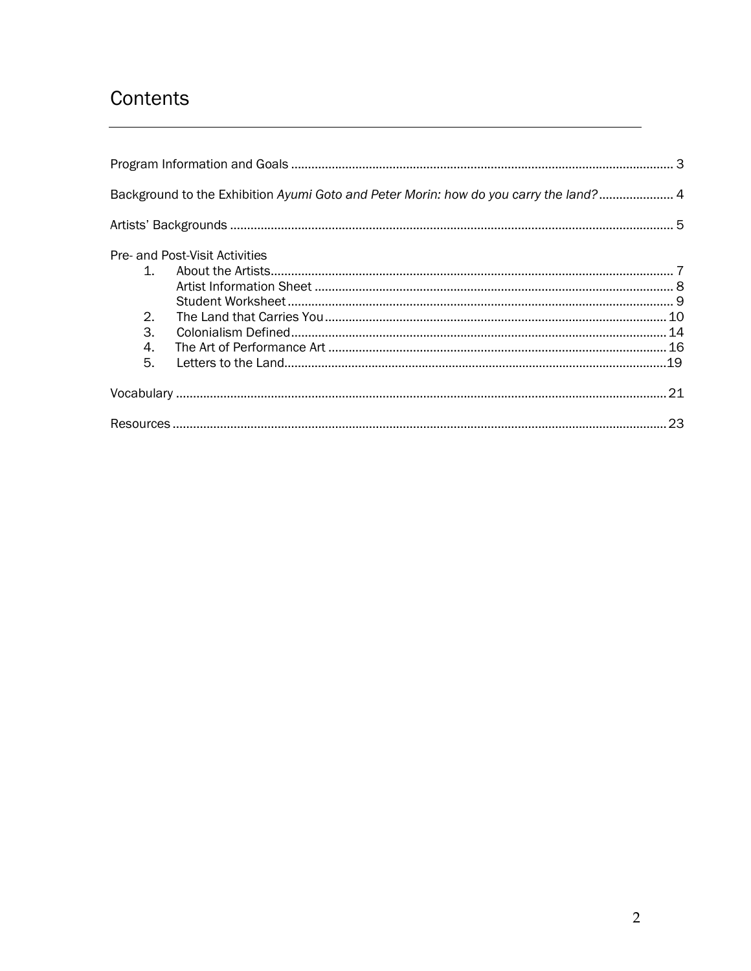## Contents

|              | Background to the Exhibition Ayumi Goto and Peter Morin: how do you carry the land? 4 |  |
|--------------|---------------------------------------------------------------------------------------|--|
|              |                                                                                       |  |
|              | Pre- and Post-Visit Activities                                                        |  |
| $\mathbf{1}$ |                                                                                       |  |
|              |                                                                                       |  |
|              |                                                                                       |  |
| 2.           |                                                                                       |  |
| 3.           |                                                                                       |  |
| 4.           |                                                                                       |  |
| 5.           |                                                                                       |  |
|              |                                                                                       |  |
|              |                                                                                       |  |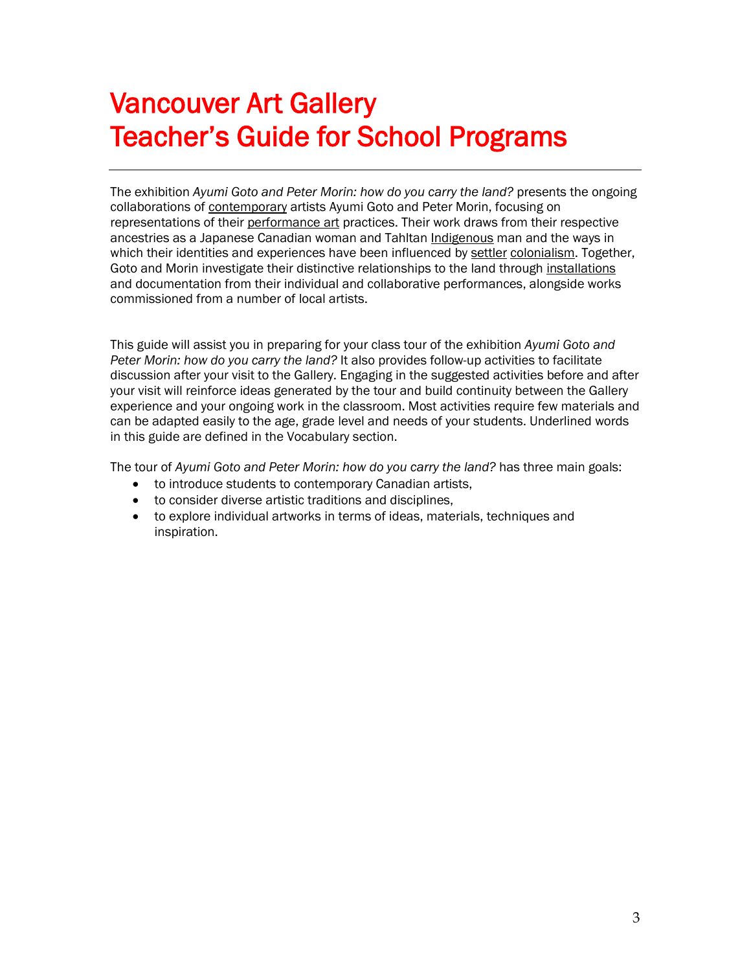## Vancouver Art Gallery Teacher's Guide for School Programs

The exhibition *Ayumi Goto and Peter Morin: how do you carry the land?* presents the ongoing collaborations of contemporary artists Ayumi Goto and Peter Morin, focusing on representations of their performance art practices. Their work draws from their respective ancestries as a Japanese Canadian woman and Tahltan Indigenous man and the ways in which their identities and experiences have been influenced by settler colonialism. Together, Goto and Morin investigate their distinctive relationships to the land through installations and documentation from their individual and collaborative performances, alongside works commissioned from a number of local artists.

This guide will assist you in preparing for your class tour of the exhibition *Ayumi Goto and Peter Morin: how do you carry the land?* It also provides follow-up activities to facilitate discussion after your visit to the Gallery. Engaging in the suggested activities before and after your visit will reinforce ideas generated by the tour and build continuity between the Gallery experience and your ongoing work in the classroom. Most activities require few materials and can be adapted easily to the age, grade level and needs of your students. Underlined words in this guide are defined in the Vocabulary section.

The tour of *Ayumi Goto and Peter Morin: how do you carry the land?* has three main goals:

- to introduce students to contemporary Canadian artists,
- to consider diverse artistic traditions and disciplines,
- to explore individual artworks in terms of ideas, materials, techniques and inspiration.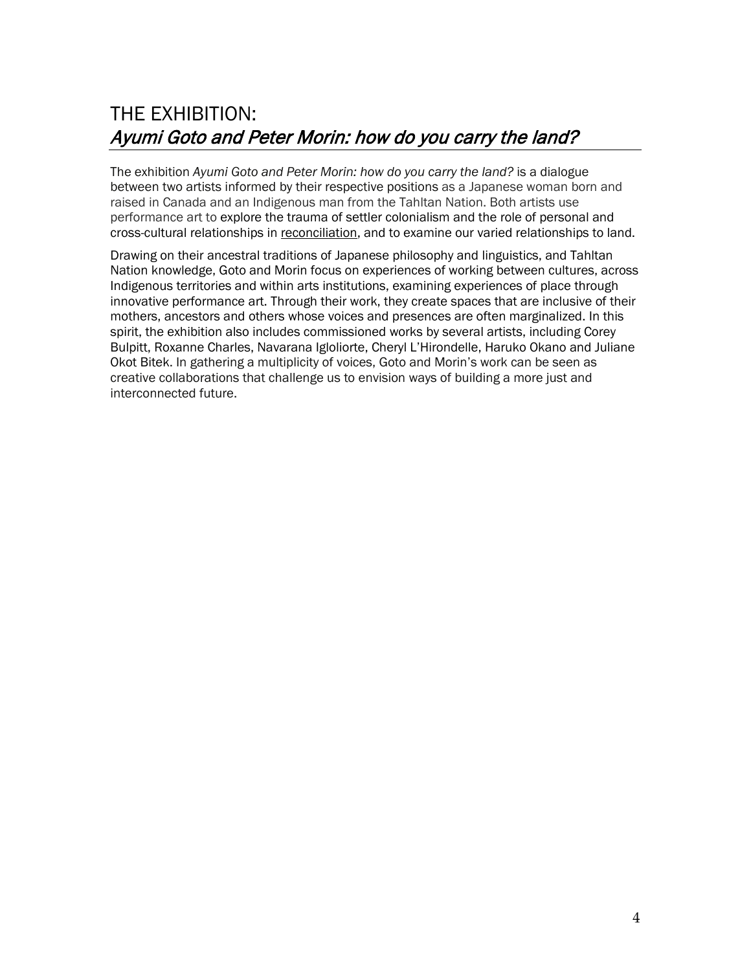## THE EXHIBITION: Ayumi Goto and Peter Morin: how do you carry the land?

The exhibition *Ayumi Goto and Peter Morin: how do you carry the land?* is a dialogue between two artists informed by their respective positions as a Japanese woman born and raised in Canada and an Indigenous man from the Tahltan Nation. Both artists use performance art to explore the trauma of settler colonialism and the role of personal and cross-cultural relationships in reconciliation, and to examine our varied relationships to land.

Drawing on their ancestral traditions of Japanese philosophy and linguistics, and Tahltan Nation knowledge, Goto and Morin focus on experiences of working between cultures, across Indigenous territories and within arts institutions, examining experiences of place through innovative performance art. Through their work, they create spaces that are inclusive of their mothers, ancestors and others whose voices and presences are often marginalized. In this spirit, the exhibition also includes commissioned works by several artists, including Corey Bulpitt, Roxanne Charles, Navarana Igloliorte, Cheryl L'Hirondelle, Haruko Okano and Juliane Okot Bitek. In gathering a multiplicity of voices, Goto and Morin's work can be seen as creative collaborations that challenge us to envision ways of building a more just and interconnected future.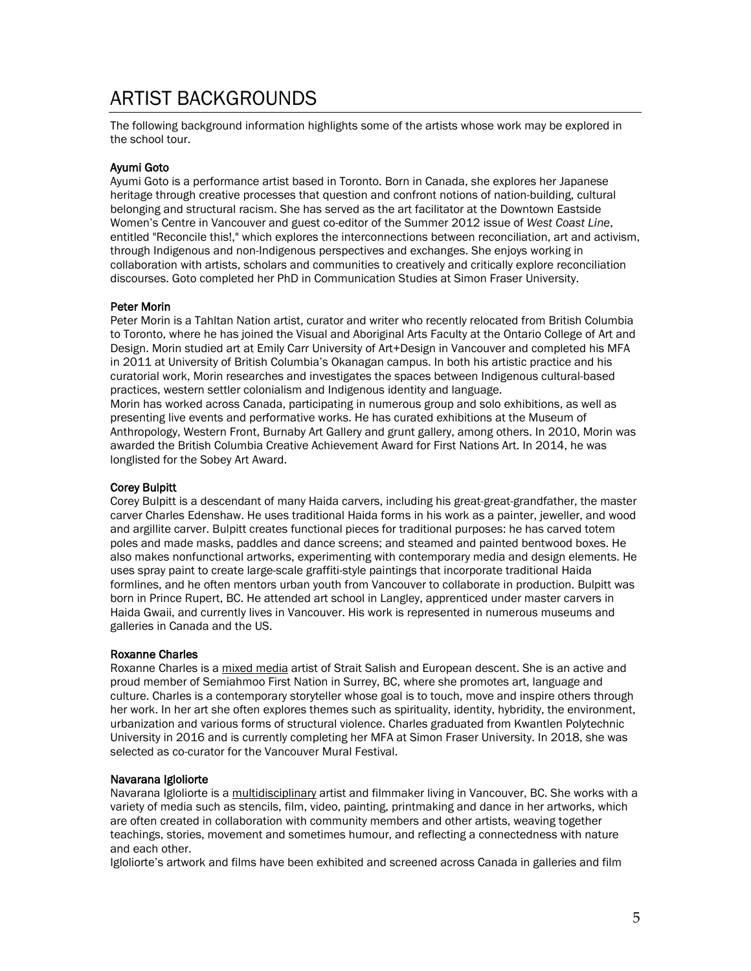## ARTIST BACKGROUNDS

The following background information highlights some of the artists whose work may be explored in the school tour.

#### Ayumi Goto

Ayumi Goto is a performance artist based in Toronto. Born in Canada, she explores her Japanese heritage through creative processes that question and confront notions of nation-building, cultural belonging and structural racism. She has served as the art facilitator at the Downtown Eastside Women's Centre in Vancouver and guest co-editor of the Summer 2012 issue of *West Coast Line*, entitled "Reconcile this!," which explores the interconnections between reconciliation, art and activism, through Indigenous and non-Indigenous perspectives and exchanges. She enjoys working in collaboration with artists, scholars and communities to creatively and critically explore reconciliation discourses. Goto completed her PhD in Communication Studies at Simon Fraser University.

#### Peter Morin

Peter Morin is a Tahltan Nation artist, curator and writer who recently relocated from British Columbia to Toronto, where he has joined the Visual and Aboriginal Arts Faculty at the Ontario College of Art and Design. Morin studied art at Emily Carr University of Art+Design in Vancouver and completed his MFA in 2011 at University of British Columbia's Okanagan campus. In both his artistic practice and his curatorial work, Morin researches and investigates the spaces between Indigenous cultural-based practices, western settler colonialism and Indigenous identity and language. Morin has worked across Canada, participating in numerous group and solo exhibitions, as well as presenting live events and performative works. He has curated exhibitions at the Museum of Anthropology, Western Front, Burnaby Art Gallery and grunt gallery, among others. In 2010, Morin was awarded the British Columbia Creative Achievement Award for First Nations Art. In 2014, he was longlisted for the Sobey Art Award.

#### Corey Bulpitt

Corey Bulpitt is a descendant of many Haida carvers, including his great-great-grandfather, the master carver Charles Edenshaw. He uses traditional Haida forms in his work as a painter, jeweller, and wood and argillite carver. Bulpitt creates functional pieces for traditional purposes: he has carved totem poles and made masks, paddles and dance screens; and steamed and painted bentwood boxes. He also makes nonfunctional artworks, experimenting with contemporary media and design elements. He uses spray paint to create large-scale graffiti-style paintings that incorporate traditional Haida formlines, and he often mentors urban youth from Vancouver to collaborate in production. Bulpitt was born in Prince Rupert, BC. He attended art school in Langley, apprenticed under master carvers in Haida Gwaii, and currently lives in Vancouver. His work is represented in numerous museums and galleries in Canada and the US.

#### Roxanne Charles

Roxanne Charles is a mixed media artist of Strait Salish and European descent. She is an active and proud member of Semiahmoo First Nation in Surrey, BC, where she promotes art, language and culture. Charles is a contemporary storyteller whose goal is to touch, move and inspire others through her work. In her art she often explores themes such as spirituality, identity, hybridity, the environment, urbanization and various forms of structural violence. Charles graduated from Kwantlen Polytechnic University in 2016 and is currently completing her MFA at Simon Fraser University. In 2018, she was selected as co-curator for the Vancouver Mural Festival.

#### Navarana Igloliorte

Navarana Igloliorte is a multidisciplinary artist and filmmaker living in Vancouver, BC. She works with a variety of media such as stencils, film, video, painting, printmaking and dance in her artworks, which are often created in collaboration with community members and other artists, weaving together teachings, stories, movement and sometimes humour, and reflecting a connectedness with nature and each other.

Igloliorte's artwork and films have been exhibited and screened across Canada in galleries and film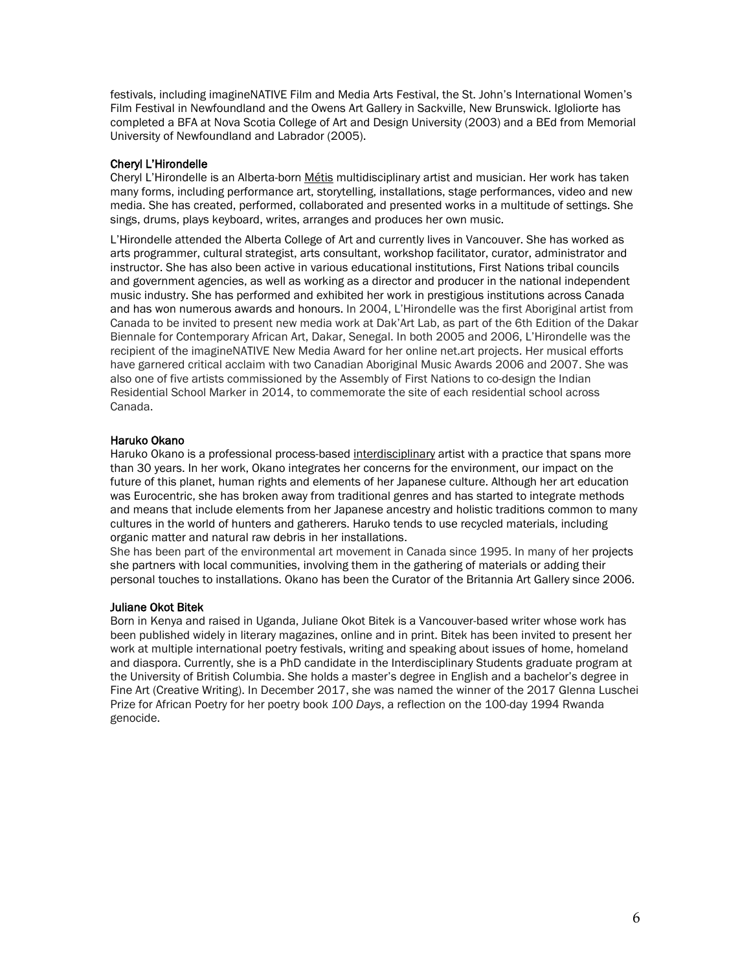festivals, including imagineNATIVE Film and Media Arts Festival, the St. John's International Women's Film Festival in Newfoundland and the Owens Art Gallery in Sackville, New Brunswick. Igloliorte has completed a BFA at Nova Scotia College of Art and Design University (2003) and a BEd from Memorial University of Newfoundland and Labrador (2005).

#### Cheryl L'Hirondelle

Cheryl L'Hirondelle is an Alberta-born Métis multidisciplinary artist and musician. Her work has taken many forms, including performance art, storytelling, installations, stage performances, video and new media. She has created, performed, collaborated and presented works in a multitude of settings. She sings, drums, plays keyboard, writes, arranges and produces her own music.

L'Hirondelle attended the Alberta College of Art and currently lives in Vancouver. She has worked as arts programmer, cultural strategist, arts consultant, workshop facilitator, curator, administrator and instructor. She has also been active in various educational institutions, First Nations tribal councils and government agencies, as well as working as a director and producer in the national independent music industry. She has performed and exhibited her work in prestigious institutions across Canada and has won numerous awards and honours. In 2004, L'Hirondelle was the first Aboriginal artist from Canada to be invited to present new media work at Dak'Art Lab, as part of the 6th Edition of the Dakar Biennale for Contemporary African Art, Dakar, Senegal. In both 2005 and 2006, L'Hirondelle was the recipient of the imagineNATIVE New Media Award for her online net.art projects. Her musical efforts have garnered critical acclaim with two Canadian Aboriginal Music Awards 2006 and 2007. She was also one of five artists commissioned by the Assembly of First Nations to co-design the Indian Residential School Marker in 2014, to commemorate the site of each residential school across Canada.

#### Haruko Okano

Haruko Okano is a professional process-based interdisciplinary artist with a practice that spans more than 30 years. In her work, Okano integrates her concerns for the environment, our impact on the future of this planet, human rights and elements of her Japanese culture. Although her art education was Eurocentric, she has broken away from traditional genres and has started to integrate methods and means that include elements from her Japanese ancestry and holistic traditions common to many cultures in the world of hunters and gatherers. Haruko tends to use recycled materials, including organic matter and natural raw debris in her installations.

She has been part of the environmental art movement in Canada since 1995. In many of her projects she partners with local communities, involving them in the gathering of materials or adding their personal touches to installations. Okano has been the Curator of the [Britannia Art Gallery](http://capturephotofest.com/gallery/britannia-art-gallery/) since 2006.

#### Juliane Okot Bitek

Born in Kenya and raised in Uganda, Juliane Okot Bitek is a Vancouver-based writer whose work has been published widely in literary magazines, online and in print. Bitek has been invited to present her work at multiple international poetry festivals, writing and speaking about issues of home, homeland and diaspora. Currently, she is a PhD candidate in the Interdisciplinary Students graduate program at the University of British Columbia. She holds a master's degree in English and a bachelor's degree in Fine Art (Creative Writing). In December 2017, she was named the winner of the 2017 Glenna Luschei Prize for African Poetry for her poetry book *100 Days*, a reflection on the 100-day 1994 Rwanda genocide.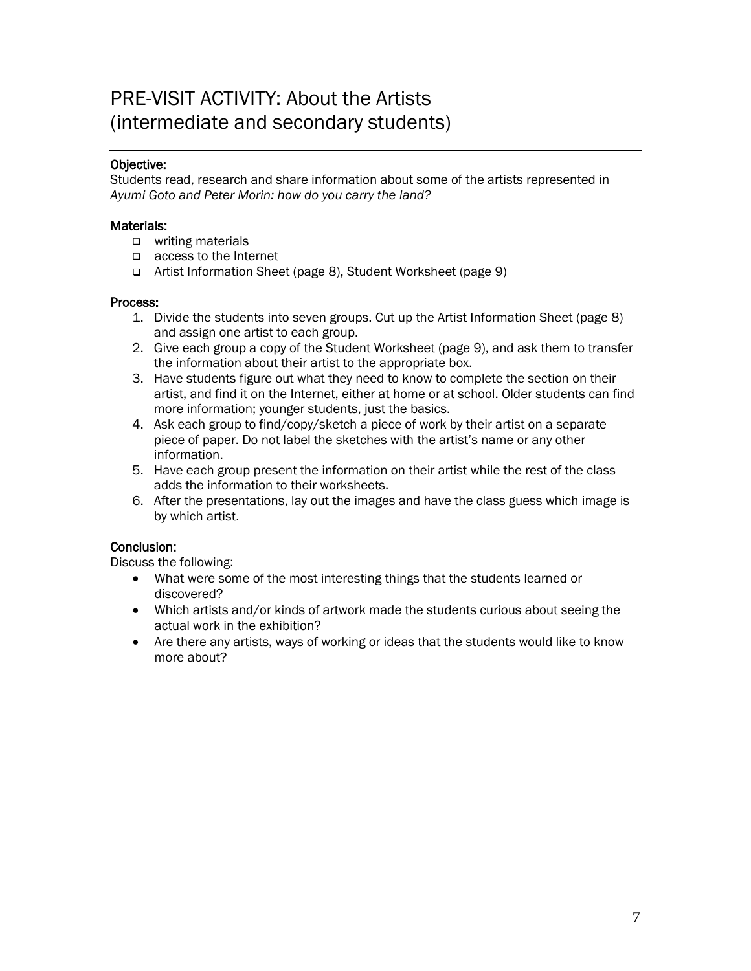## PRE-VISIT ACTIVITY: About the Artists (intermediate and secondary students)

#### Objective:

Students read, research and share information about some of the artists represented in *Ayumi Goto and Peter Morin: how do you carry the land?*

#### Materials:

- **u** writing materials
- access to the Internet
- Artist Information Sheet (page 8), Student Worksheet (page 9)

#### Process:

- 1. Divide the students into seven groups. Cut up the Artist Information Sheet (page 8) and assign one artist to each group.
- 2. Give each group a copy of the Student Worksheet (page 9), and ask them to transfer the information about their artist to the appropriate box.
- 3. Have students figure out what they need to know to complete the section on their artist, and find it on the Internet, either at home or at school. Older students can find more information; younger students, just the basics.
- 4. Ask each group to find/copy/sketch a piece of work by their artist on a separate piece of paper. Do not label the sketches with the artist's name or any other information.
- 5. Have each group present the information on their artist while the rest of the class adds the information to their worksheets.
- 6. After the presentations, lay out the images and have the class guess which image is by which artist.

#### Conclusion:

Discuss the following:

- What were some of the most interesting things that the students learned or discovered?
- Which artists and/or kinds of artwork made the students curious about seeing the actual work in the exhibition?
- Are there any artists, ways of working or ideas that the students would like to know more about?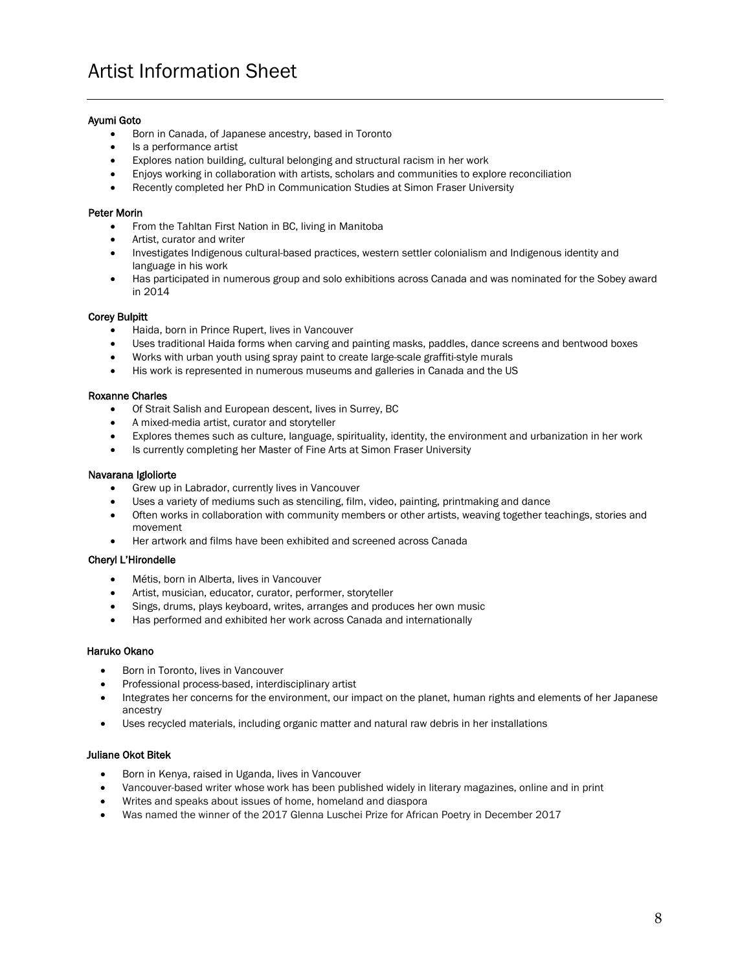#### Ayumi Goto

- Born in Canada, of Japanese ancestry, based in Toronto
- Is a performance artist
- Explores nation building, cultural belonging and structural racism in her work
- Enjoys working in collaboration with artists, scholars and communities to explore reconciliation
- Recently completed her PhD in Communication Studies at Simon Fraser University

#### Peter Morin

- From the Tahltan First Nation in BC, living in Manitoba
- Artist, curator and writer
- Investigates Indigenous cultural-based practices, western settler colonialism and Indigenous identity and language in his work
- Has participated in numerous group and solo exhibitions across Canada and was nominated for the Sobey award in 2014

#### Corey Bulpitt

- Haida, born in Prince Rupert, lives in Vancouver
- Uses traditional Haida forms when carving and painting masks, paddles, dance screens and bentwood boxes
- Works with urban youth using spray paint to create large-scale graffiti-style murals
- His work is represented in numerous museums and galleries in Canada and the US

#### Roxanne Charles

- Of Strait Salish and European descent, lives in Surrey, BC
- A mixed-media artist, curator and storyteller
- Explores themes such as culture, language, spirituality, identity, the environment and urbanization in her work
- Is currently completing her Master of Fine Arts at Simon Fraser University

#### Navarana Igloliorte

- Grew up in Labrador, currently lives in Vancouver
- Uses a variety of mediums such as stenciling, film, video, painting, printmaking and dance
- Often works in collaboration with community members or other artists, weaving together teachings, stories and movement
- Her artwork and films have been exhibited and screened across Canada

#### Cheryl L'Hirondelle

- Métis, born in Alberta, lives in Vancouver
- Artist, musician, educator, curator, performer, storyteller
- Sings, drums, plays keyboard, writes, arranges and produces her own music
- Has performed and exhibited her work across Canada and internationally

#### Haruko Okano

- Born in Toronto, lives in Vancouver
- Professional process-based, interdisciplinary artist
- Integrates her concerns for the environment, our impact on the planet, human rights and elements of her Japanese ancestry
- Uses recycled materials, including organic matter and natural raw debris in her installations

#### Juliane Okot Bitek

- Born in Kenya, raised in Uganda, lives in Vancouver
- Vancouver-based writer whose work has been published widely in literary magazines, online and in print
- Writes and speaks about issues of home, homeland and diaspora
- Was named the winner of the 2017 Glenna Luschei Prize for African Poetry in December 2017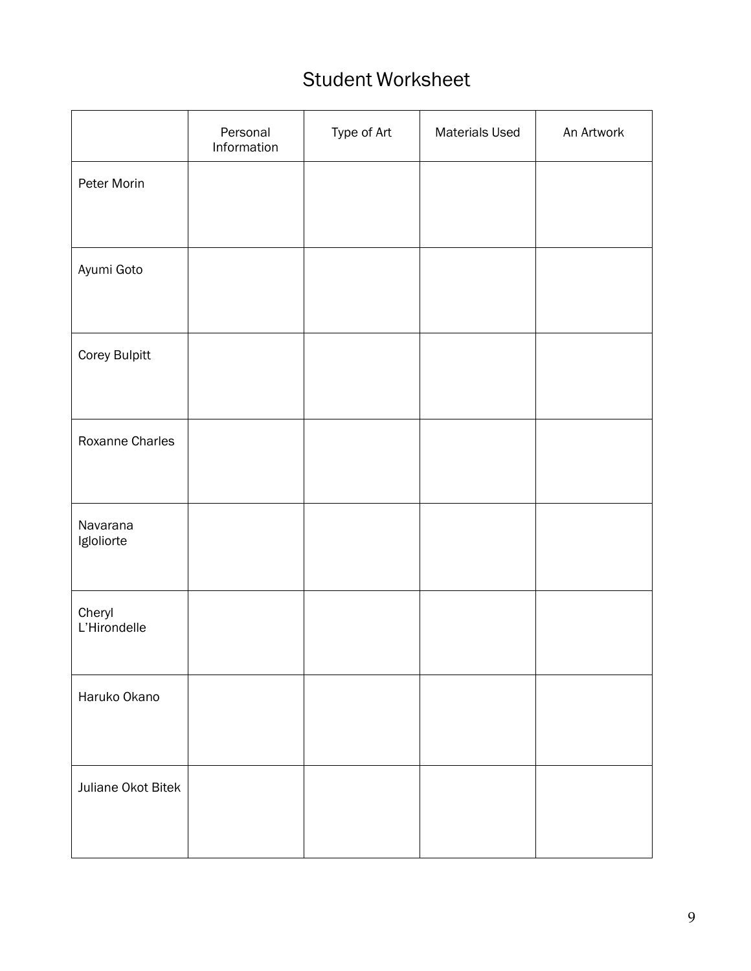## Student Worksheet

|                        | Personal<br>Information | Type of Art | <b>Materials Used</b> | An Artwork |
|------------------------|-------------------------|-------------|-----------------------|------------|
| Peter Morin            |                         |             |                       |            |
| Ayumi Goto             |                         |             |                       |            |
| Corey Bulpitt          |                         |             |                       |            |
| Roxanne Charles        |                         |             |                       |            |
| Navarana<br>Igloliorte |                         |             |                       |            |
| Cheryl<br>L'Hirondelle |                         |             |                       |            |
| Haruko Okano           |                         |             |                       |            |
| Juliane Okot Bitek     |                         |             |                       |            |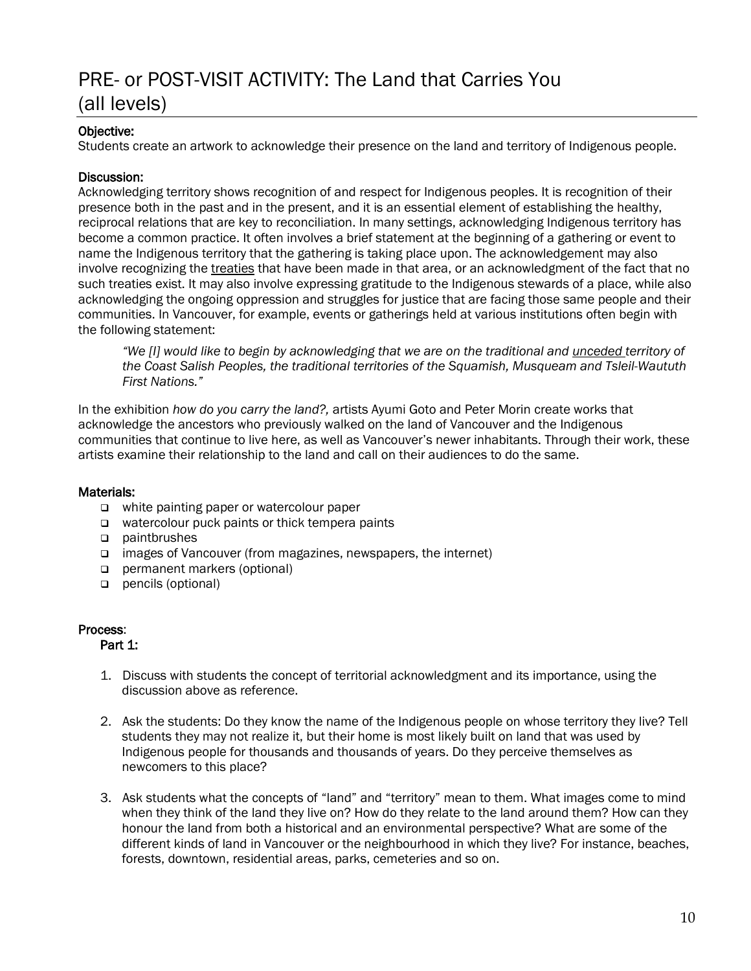## PRE- or POST-VISIT ACTIVITY: The Land that Carries You (all levels)

#### Objective:

Students create an artwork to acknowledge their presence on the land and territory of Indigenous people.

#### Discussion:

Acknowledging territory shows recognition of and respect for Indigenous peoples. It is recognition of their presence both in the past and in the present, and it is an essential element of establishing the healthy, reciprocal relations that are key to reconciliation. In many settings, acknowledging Indigenous territory has become a common practice. It often involves a brief statement at the beginning of a gathering or event to name the Indigenous territory that the gathering is taking place upon. The acknowledgement may also involve recognizing the treaties that have been made in that area, or an acknowledgment of the fact that no such treaties exist. It may also involve expressing gratitude to the Indigenous stewards of a place, while also acknowledging the ongoing oppression and struggles for justice that are facing those same people and their communities. In Vancouver, for example, events or gatherings held at various institutions often begin with the following statement:

*"We [I] would like to begin by acknowledging that we are on the traditional and unceded territory of the Coast Salish Peoples, the traditional territories of the Squamish, Musqueam and Tsleil-Waututh First Nations."*

In the exhibition *how do you carry the land?,* artists Ayumi Goto and Peter Morin create works that acknowledge the ancestors who previously walked on the land of Vancouver and the Indigenous communities that continue to live here, as well as Vancouver's newer inhabitants. Through their work, these artists examine their relationship to the land and call on their audiences to do the same.

#### Materials:

- □ white painting paper or watercolour paper
- $\Box$  watercolour puck paints or thick tempera paints
- paintbrushes
- □ images of Vancouver (from magazines, newspapers, the internet)
- permanent markers (optional)
- pencils (optional)

#### Process:

#### Part 1:

- 1. Discuss with students the concept of territorial acknowledgment and its importance, using the discussion above as reference.
- 2. Ask the students: Do they know the name of the Indigenous people on whose territory they live? Tell students they may not realize it, but their home is most likely built on land that was used by Indigenous people for thousands and thousands of years. Do they perceive themselves as newcomers to this place?
- 3. Ask students what the concepts of "land" and "territory" mean to them. What images come to mind when they think of the land they live on? How do they relate to the land around them? How can they honour the land from both a historical and an environmental perspective? What are some of the different kinds of land in Vancouver or the neighbourhood in which they live? For instance, beaches, forests, downtown, residential areas, parks, cemeteries and so on.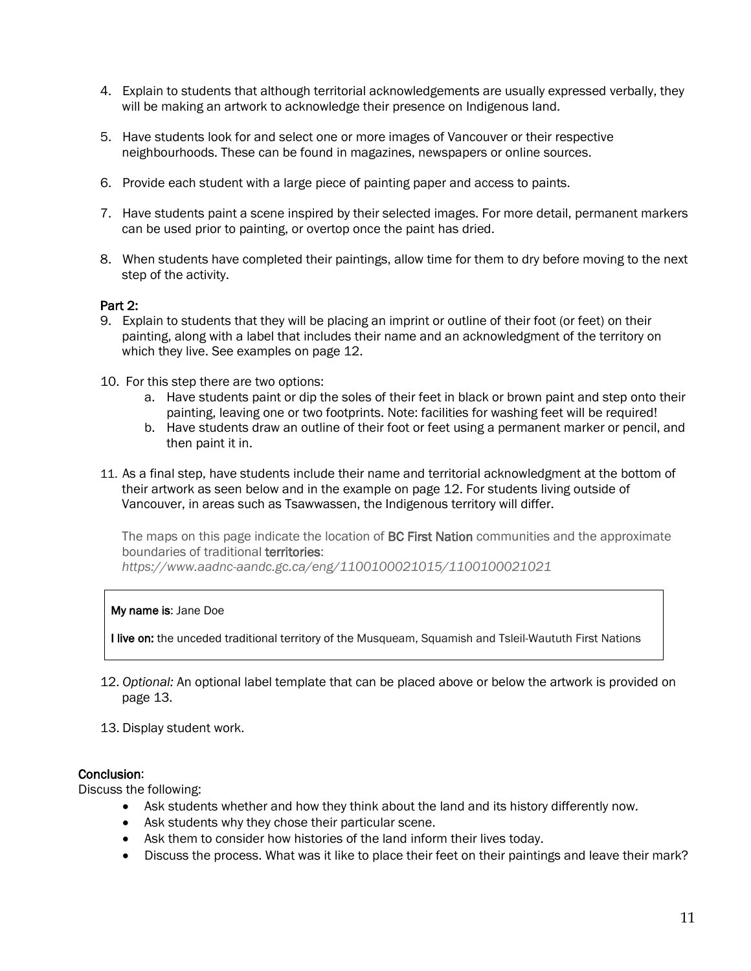- 4. Explain to students that although territorial acknowledgements are usually expressed verbally, they will be making an artwork to acknowledge their presence on Indigenous land.
- 5. Have students look for and select one or more images of Vancouver or their respective neighbourhoods. These can be found in magazines, newspapers or online sources.
- 6. Provide each student with a large piece of painting paper and access to paints.
- 7. Have students paint a scene inspired by their selected images. For more detail, permanent markers can be used prior to painting, or overtop once the paint has dried.
- 8. When students have completed their paintings, allow time for them to dry before moving to the next step of the activity.

#### Part 2:

- 9. Explain to students that they will be placing an imprint or outline of their foot (or feet) on their painting, along with a label that includes their name and an acknowledgment of the territory on which they live. See examples on page 12.
- 10. For this step there are two options:
	- a. Have students paint or dip the soles of their feet in black or brown paint and step onto their painting, leaving one or two footprints. Note: facilities for washing feet will be required!
	- b. Have students draw an outline of their foot or feet using a permanent marker or pencil, and then paint it in.
- 11. As a final step, have students include their name and territorial acknowledgment at the bottom of their artwork as seen below and in the example on page 12. For students living outside of Vancouver, in areas such as Tsawwassen, the Indigenous territory will differ.

The maps on this page indicate the location of **BC First Nation** communities and the approximate boundaries of traditional territories:

*https://www.aadnc-aandc.gc.ca/eng/1100100021015/1100100021021*

#### My name is: Jane Doe

I live on: the unceded traditional territory of the Musqueam, Squamish and Tsleil-Waututh First Nations

- 12. *Optional:* An optional label template that can be placed above or below the artwork is provided on page 13.
- 13. Display student work.

#### Conclusion:

Discuss the following:

- Ask students whether and how they think about the land and its history differently now.
- Ask students why they chose their particular scene.
- Ask them to consider how histories of the land inform their lives today.
- Discuss the process. What was it like to place their feet on their paintings and leave their mark?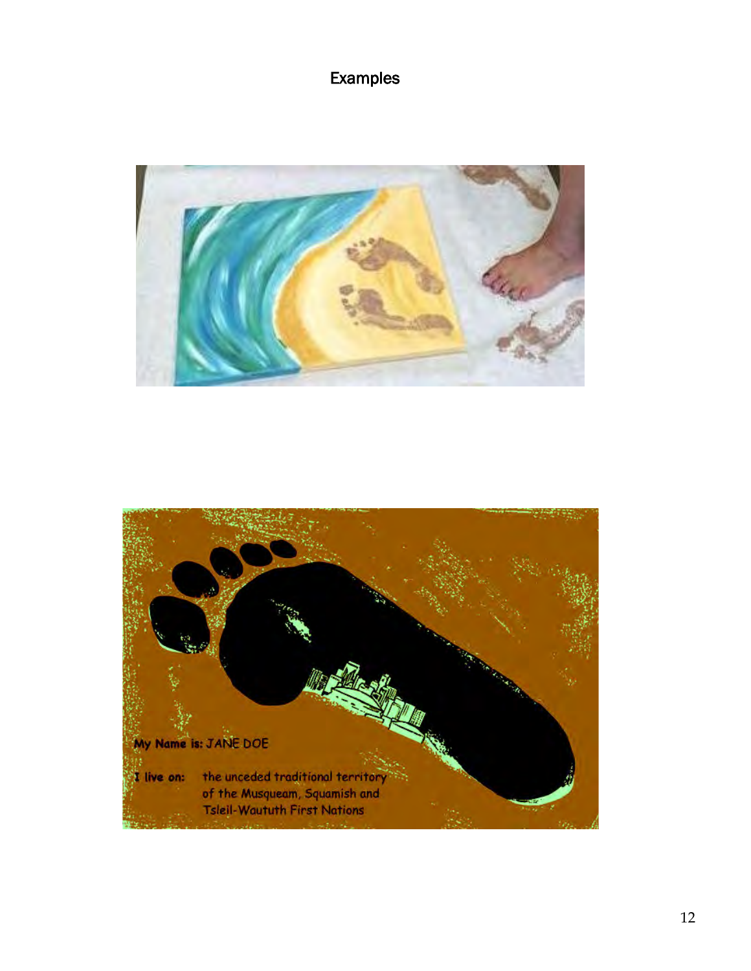## Examples



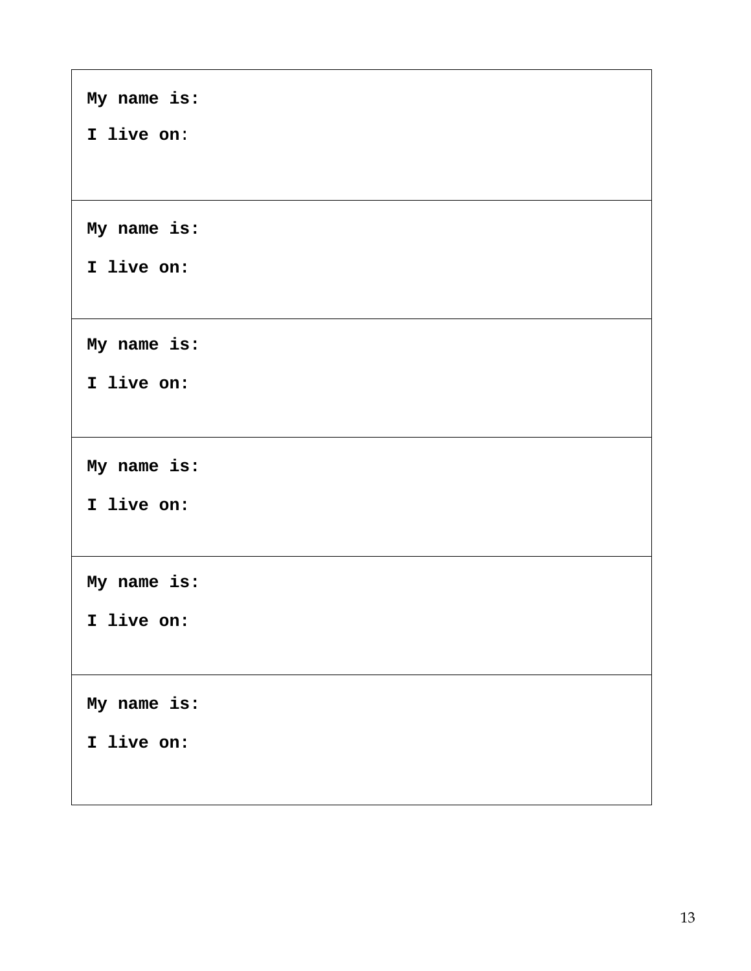| My name is: |
|-------------|
| I live on:  |
|             |
| My name is: |
| I live on:  |
|             |
| My name is: |
| I live on:  |
|             |
| My name is: |
| I live on:  |
|             |
| My name is: |
| I live on:  |
|             |
| My name is: |
| I live on:  |
|             |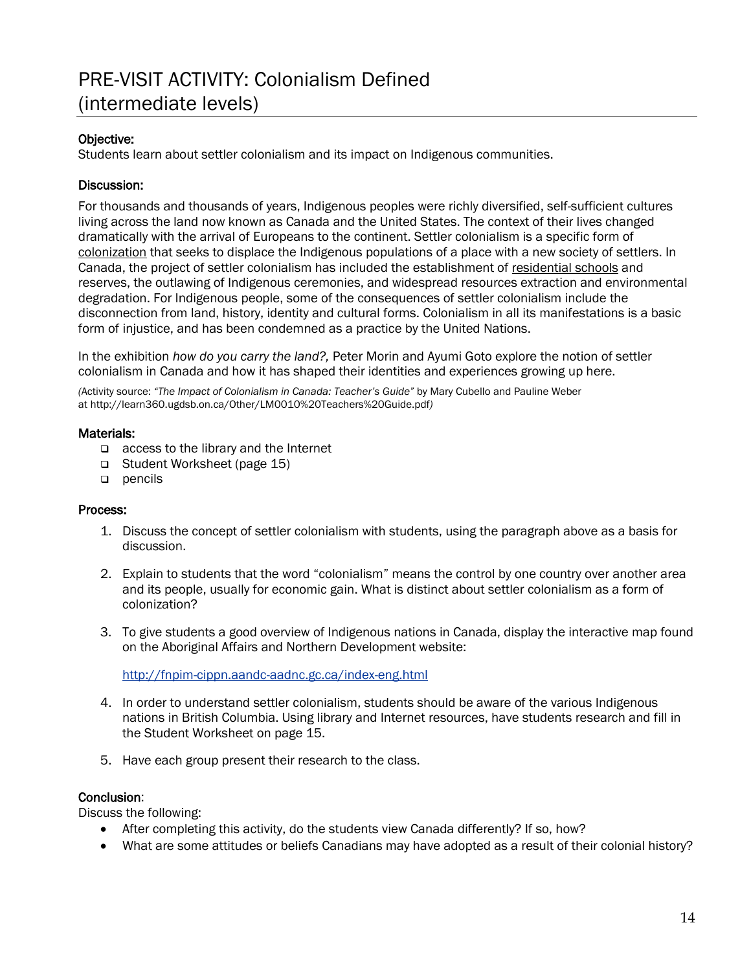## PRE-VISIT ACTIVITY: Colonialism Defined (intermediate levels)

#### Objective:

Students learn about settler colonialism and its impact on Indigenous communities.

#### Discussion:

For thousands and thousands of years, Indigenous peoples were richly diversified, self-sufficient cultures living across the land now known as Canada and the United States. The context of their lives changed dramatically with the arrival of Europeans to the continent. Settler colonialism is a specific form of colonization that seeks to displace the Indigenous populations of a place with a new society of settlers. In Canada, the project of settler colonialism has included the establishment of residential schools and reserves, the outlawing of Indigenous ceremonies, and widespread resources extraction and environmental degradation. For Indigenous people, some of the consequences of settler colonialism include the disconnection from land, history, identity and cultural forms. Colonialism in all its manifestations is a basic form of injustice, and has been condemned as a practice by the United Nations.

In the exhibition *how do you carry the land?,* Peter Morin and Ayumi Goto explore the notion of settler colonialism in Canada and how it has shaped their identities and experiences growing up here.

*(*Activity source: *"The Impact of Colonialism in Canada: Teacher's Guide"* by Mary Cubello and Pauline Weber at http://learn360.ugdsb.on.ca/Other/LM0010%20Teachers%20Guide.pdf*)* 

#### Materials:

- $\Box$  access to the library and the Internet
- □ Student Worksheet (page 15)
- $p$  pencils

#### Process:

- 1. Discuss the concept of settler colonialism with students, using the paragraph above as a basis for discussion.
- 2. Explain to students that the word "colonialism" means the control by one country over another area and its people, usually for economic gain. What is distinct about settler colonialism as a form of colonization?
- 3. To give students a good overview of Indigenous nations in Canada, display the interactive map found on the Aboriginal Affairs and Northern Development website:

<http://fnpim-cippn.aandc-aadnc.gc.ca/index-eng.html>

- 4. In order to understand settler colonialism, students should be aware of the various Indigenous nations in British Columbia. Using library and Internet resources, have students research and fill in the Student Worksheet on page 15.
- 5. Have each group present their research to the class.

#### Conclusion:

Discuss the following:

- After completing this activity, do the students view Canada differently? If so, how?
- What are some attitudes or beliefs Canadians may have adopted as a result of their colonial history?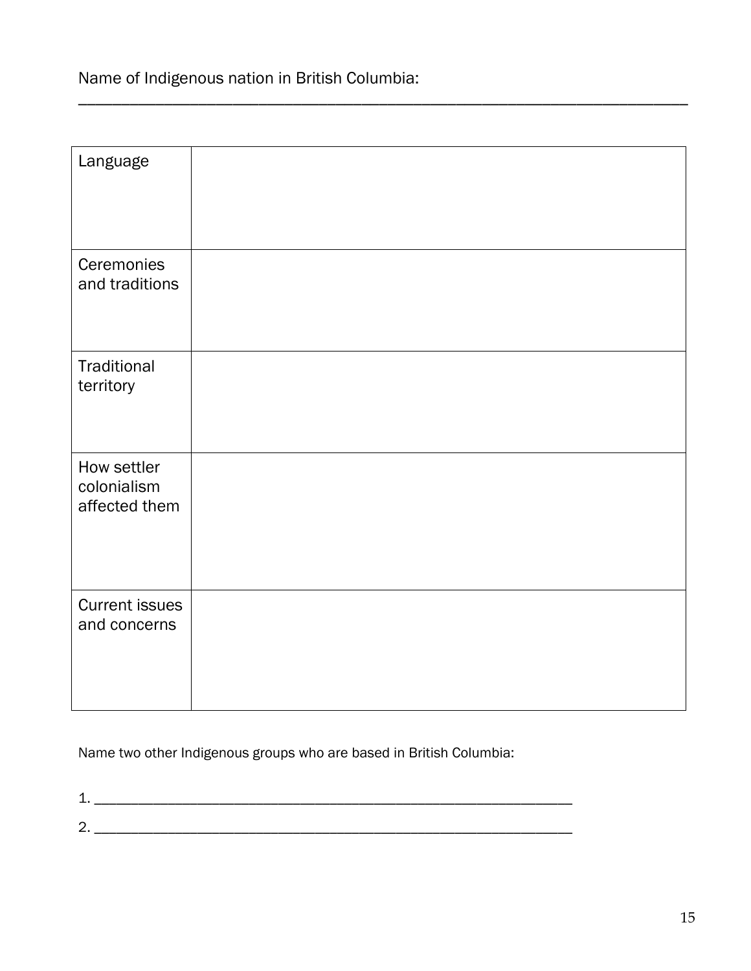Name of Indigenous nation in British Columbia:

| Language                                    |  |
|---------------------------------------------|--|
| Ceremonies<br>and traditions                |  |
| Traditional<br>territory                    |  |
| How settler<br>colonialism<br>affected them |  |
| <b>Current issues</b><br>and concerns       |  |

\_\_\_\_\_\_\_\_\_\_\_\_\_\_\_\_\_\_\_\_\_\_\_\_\_\_\_\_\_\_\_\_\_\_\_\_\_\_\_\_\_\_\_\_\_\_\_\_\_\_\_\_\_\_\_\_\_\_\_\_\_\_\_\_\_\_\_\_\_\_\_

Name two other Indigenous groups who are based in British Columbia:

1. \_\_\_\_\_\_\_\_\_\_\_\_\_\_\_\_\_\_\_\_\_\_\_\_\_\_\_\_\_\_\_\_\_\_\_\_\_\_\_\_\_\_\_\_\_\_\_\_\_\_\_\_\_\_\_\_\_\_\_\_\_\_\_\_\_ 2. \_\_\_\_\_\_\_\_\_\_\_\_\_\_\_\_\_\_\_\_\_\_\_\_\_\_\_\_\_\_\_\_\_\_\_\_\_\_\_\_\_\_\_\_\_\_\_\_\_\_\_\_\_\_\_\_\_\_\_\_\_\_\_\_\_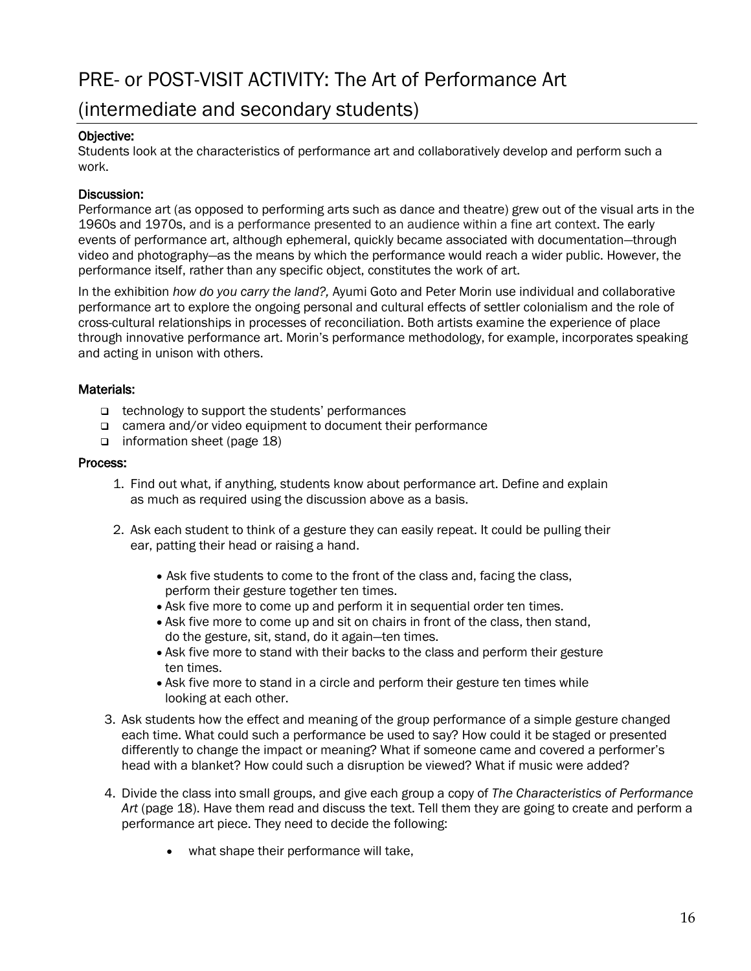## PRE- or POST-VISIT ACTIVITY: The Art of Performance Art

### (intermediate and secondary students)

#### Objective:

Students look at the characteristics of performance art and collaboratively develop and perform such a work.

#### Discussion:

Performance art (as opposed to performing arts such as dance and theatre) grew out of the visual arts in the 1960s and 1970s, and is a performance presented to an audience within a fine art context. The early events of performance art, although ephemeral, quickly became associated with documentation—through video and photography—as the means by which the performance would reach a wider public. However, the performance itself, rather than any specific object, constitutes the work of art.

In the exhibition *how do you carry the land?,* Ayumi Goto and Peter Morin use individual and collaborative performance art to explore the ongoing personal and cultural effects of settler colonialism and the role of cross-cultural relationships in processes of reconciliation. Both artists examine the experience of place through innovative performance art. Morin's performance methodology, for example, incorporates speaking and acting in unison with others.

#### Materials:

- $\Box$  technology to support the students' performances
- □ camera and/or video equipment to document their performance
- information sheet (page 18)

#### Process:

- 1. Find out what, if anything, students know about performance art. Define and explain as much as required using the discussion above as a basis.
- 2. Ask each student to think of a gesture they can easily repeat. It could be pulling their ear, patting their head or raising a hand.
	- Ask five students to come to the front of the class and, facing the class, perform their gesture together ten times.
	- Ask five more to come up and perform it in sequential order ten times.
	- Ask five more to come up and sit on chairs in front of the class, then stand, do the gesture, sit, stand, do it again—ten times.
	- Ask five more to stand with their backs to the class and perform their gesture ten times.
	- Ask five more to stand in a circle and perform their gesture ten times while looking at each other.
- 3. Ask students how the effect and meaning of the group performance of a simple gesture changed each time. What could such a performance be used to say? How could it be staged or presented differently to change the impact or meaning? What if someone came and covered a performer's head with a blanket? How could such a disruption be viewed? What if music were added?
- 4. Divide the class into small groups, and give each group a copy of *The Characteristics of Performance Art* (page 18). Have them read and discuss the text. Tell them they are going to create and perform a performance art piece. They need to decide the following:
	- what shape their performance will take,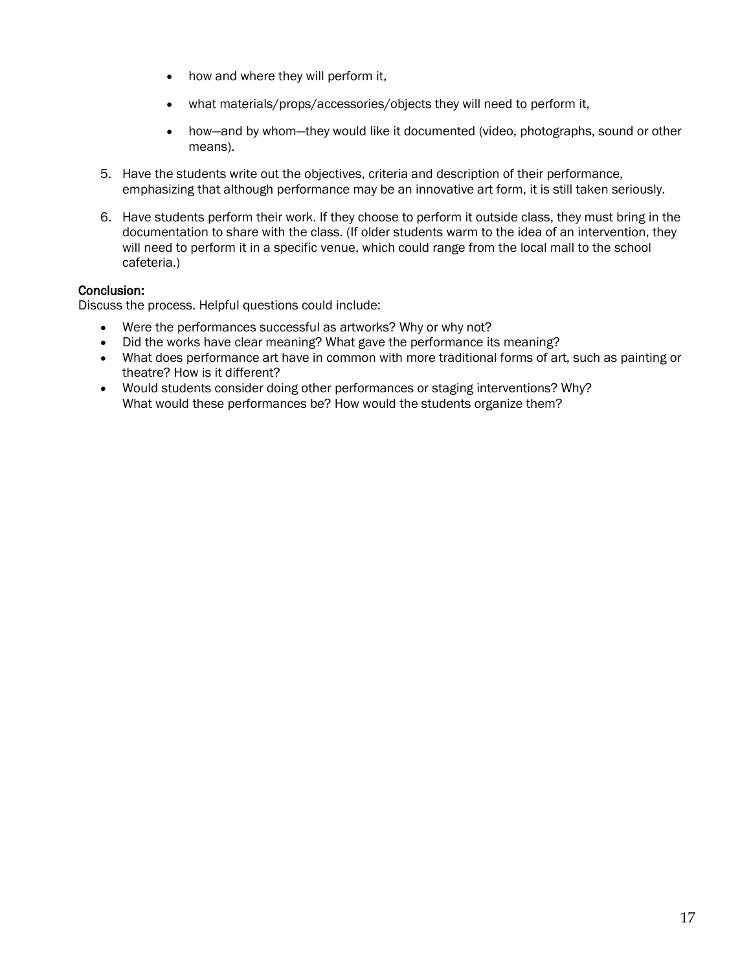- how and where they will perform it,
- what materials/props/accessories/objects they will need to perform it,
- how—and by whom—they would like it documented (video, photographs, sound or other means).
- 5. Have the students write out the objectives, criteria and description of their performance, emphasizing that although performance may be an innovative art form, it is still taken seriously.
- 6. Have students perform their work. If they choose to perform it outside class, they must bring in the documentation to share with the class. (If older students warm to the idea of an intervention, they will need to perform it in a specific venue, which could range from the local mall to the school cafeteria.)

#### Conclusion:

Discuss the process. Helpful questions could include:

- Were the performances successful as artworks? Why or why not?
- Did the works have clear meaning? What gave the performance its meaning?
- What does performance art have in common with more traditional forms of art, such as painting or theatre? How is it different?
- Would students consider doing other performances or staging interventions? Why? What would these performances be? How would the students organize them?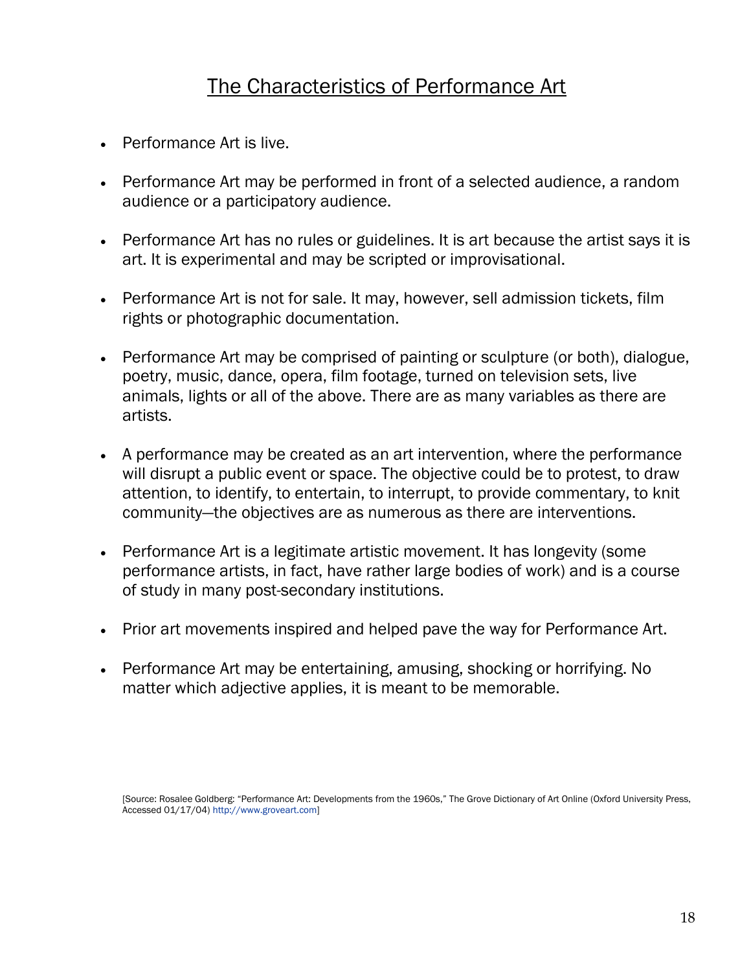## The Characteristics of Performance Art

- Performance Art is live.
- Performance Art may be performed in front of a selected audience, a random audience or a participatory audience.
- Performance Art has no rules or guidelines. It is art because the artist says it is art. It is experimental and may be scripted or improvisational.
- Performance Art is not for sale. It may, however, sell admission tickets, film rights or photographic documentation.
- Performance Art may be comprised of painting or sculpture (or both), dialogue, poetry, music, dance, opera, film footage, turned on television sets, live animals, lights or all of the above. There are as many variables as there are artists.
- A performance may be created as an art intervention, where the performance will disrupt a public event or space. The objective could be to protest, to draw attention, to identify, to entertain, to interrupt, to provide commentary, to knit community—the objectives are as numerous as there are interventions.
- Performance Art is a legitimate artistic movement. It has longevity (some performance artists, in fact, have rather large bodies of work) and is a course of study in many post-secondary institutions.
- Prior art movements inspired and helped pave the way for Performance Art.
- Performance Art may be entertaining, amusing, shocking or horrifying. No matter which adjective applies, it is meant to be memorable.

<sup>[</sup>Source: Rosalee Goldberg: "Performance Art: Developments from the 1960s," The Grove Dictionary of Art Online (Oxford University Press, Accessed 01/17/04) http://www.groveart.com]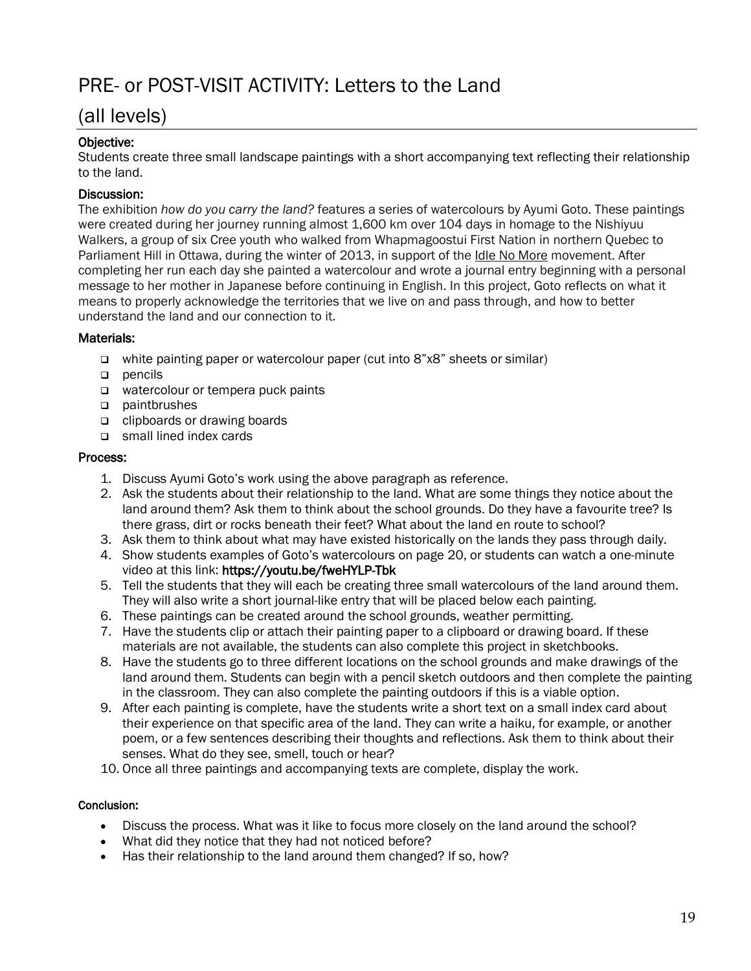## PRE- or POST-VISIT ACTIVITY: Letters to the Land

### (all levels)

#### Objective:

Students create three small landscape paintings with a short accompanying text reflecting their relationship to the land.

#### Discussion:

The exhibition *how do you carry the land?* features a series of watercolours by Ayumi Goto. These paintings were created during her journey running almost 1,600 km over 104 days in homage to the Nishiyuu Walkers, a group of six Cree youth who walked from Whapmagoostui First Nation in northern Quebec to Parliament Hill in Ottawa, during the winter of 2013, in support of the Idle No More movement. After completing her run each day she painted a watercolour and wrote a journal entry beginning with a personal message to her mother in Japanese before continuing in English. In this project, Goto reflects on what it means to properly acknowledge the territories that we live on and pass through, and how to better understand the land and our connection to it.

#### Materials:

- white painting paper or watercolour paper (cut into 8"x8" sheets or similar)
- $p$  pencils
- watercolour or tempera puck paints
- paintbrushes
- clipboards or drawing boards
- small lined index cards

#### Process:

- 1. Discuss Ayumi Goto's work using the above paragraph as reference.
- 2. Ask the students about their relationship to the land. What are some things they notice about the land around them? Ask them to think about the school grounds. Do they have a favourite tree? Is there grass, dirt or rocks beneath their feet? What about the land en route to school?
- 3. Ask them to think about what may have existed historically on the lands they pass through daily.
- 4. Show students examples of Goto's watercolours on page 20, or students can watch a one-minute video at this link: https://youtu.be/fweHYLP-Tbk
- 5. Tell the students that they will each be creating three small watercolours of the land around them. They will also write a short journal-like entry that will be placed below each painting.
- 6. These paintings can be created around the school grounds, weather permitting.
- 7. Have the students clip or attach their painting paper to a clipboard or drawing board. If these materials are not available, the students can also complete this project in sketchbooks.
- 8. Have the students go to three different locations on the school grounds and make drawings of the land around them. Students can begin with a pencil sketch outdoors and then complete the painting in the classroom. They can also complete the painting outdoors if this is a viable option.
- 9. After each painting is complete, have the students write a short text on a small index card about their experience on that specific area of the land. They can write a haiku, for example, or another poem, or a few sentences describing their thoughts and reflections. Ask them to think about their senses. What do they see, smell, touch or hear?
- 10. Once all three paintings and accompanying texts are complete, display the work.

#### Conclusion:

- Discuss the process. What was it like to focus more closely on the land around the school?
- What did they notice that they had not noticed before?
- Has their relationship to the land around them changed? If so, how?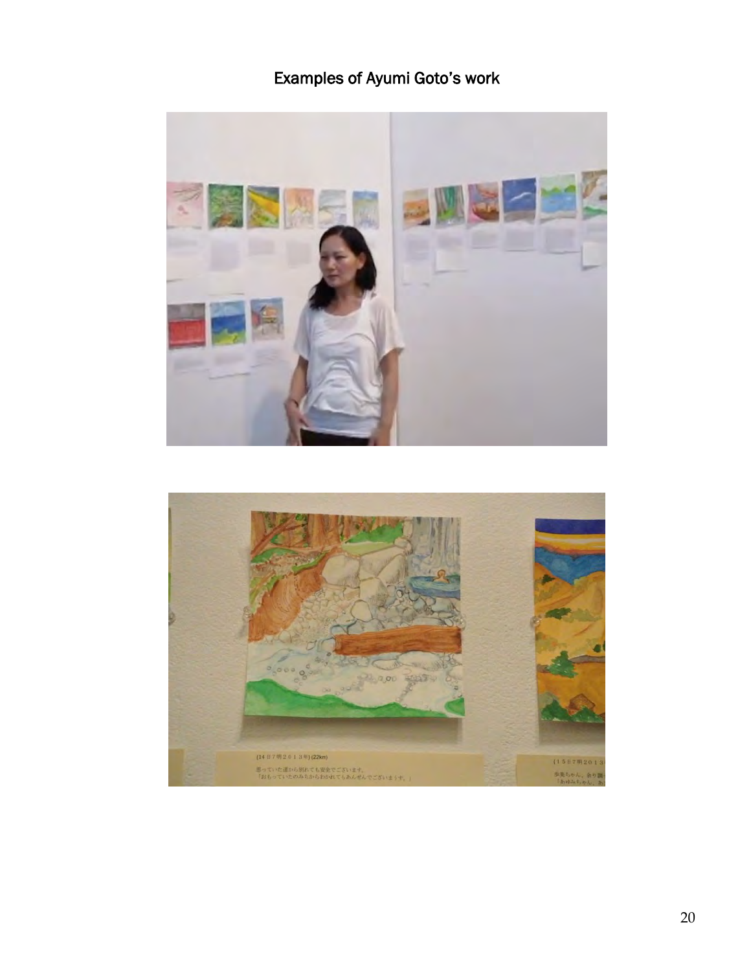## Examples of Ayumi Goto's work



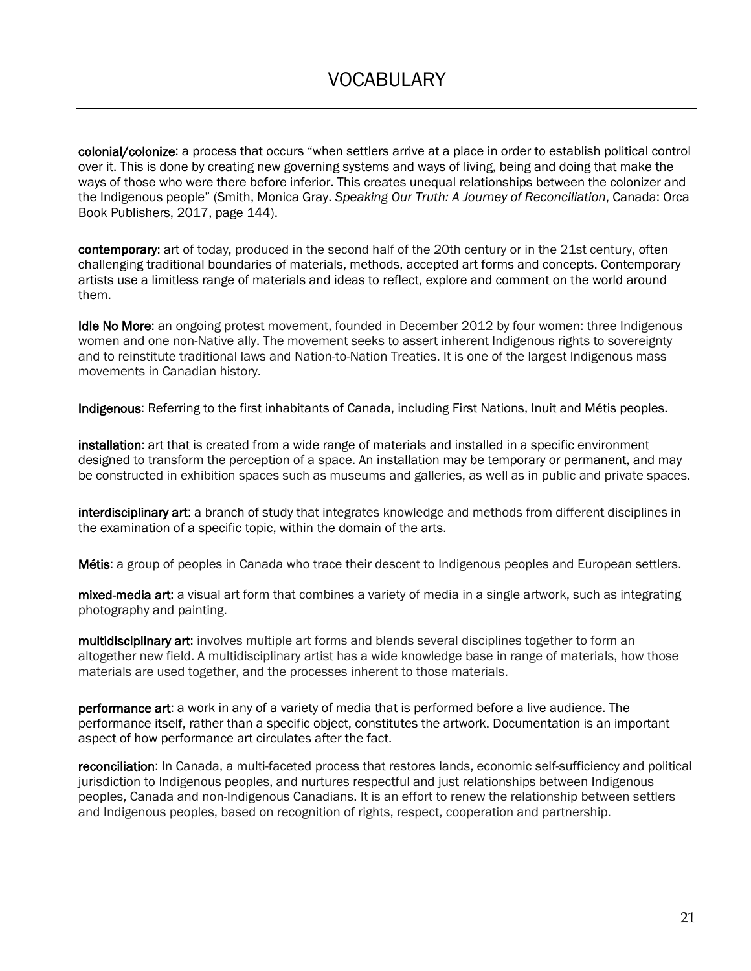colonial/colonize: a process that occurs "when settlers arrive at a place in order to establish political control over it. This is done by creating new governing systems and ways of living, being and doing that make the ways of those who were there before inferior. This creates unequal relationships between the colonizer and the Indigenous people" (Smith, Monica Gray. *Speaking Our Truth: A Journey of Reconciliation*, Canada: Orca Book Publishers, 2017, page 144).

contemporary: art of today, produced in the second half of the 20th century or in the 21st century, often challenging traditional boundaries of materials, methods, accepted art forms and concepts. Contemporary artists use a limitless range of materials and ideas to reflect, explore and comment on the world around them.

Idle No More: an ongoing protest movement, founded in December 2012 by four women: three Indigenous women and one non-Native ally. The movement seeks to assert inherent Indigenous rights to sovereignty and to reinstitute traditional laws and Nation-to-Nation Treaties. It is one of the largest Indigenous mass movements in Canadian history.

Indigenous: Referring to the first inhabitants of Canada, including First Nations, Inuit and Métis peoples.

installation: art that is created from a wide range of materials and installed in a specific environment designed to transform the perception of a space. An installation may be temporary or permanent, and may be constructed in exhibition spaces such as museums and galleries, as well as in public and private spaces.

interdisciplinary art: a branch of study that integrates knowledge and methods from different disciplines in the examination of a specific topic, within the domain of the arts.

Métis: a group of peoples in Canada who trace their descent to Indigenous peoples and European settlers.

mixed-media art: a visual art form that combines a variety of media in a single artwork, such as integrating photography and painting.

multidisciplinary art: involves multiple art forms and blends several disciplines together to form an altogether new field. A multidisciplinary artist has a wide knowledge base in range of materials, how those materials are used together, and the processes inherent to those materials.

performance art: a work in any of a variety of media that is performed before a live audience. The performance itself, rather than a specific object, constitutes the artwork. Documentation is an important aspect of how performance art circulates after the fact.

reconciliation: In Canada, a multi-faceted process that restores lands, economic self-sufficiency and political jurisdiction to Indigenous peoples, and nurtures respectful and just relationships between Indigenous peoples, Canada and non-Indigenous Canadians. It is an effort to renew the relationship between settlers and Indigenous peoples, based on recognition of rights, respect, cooperation and partnership.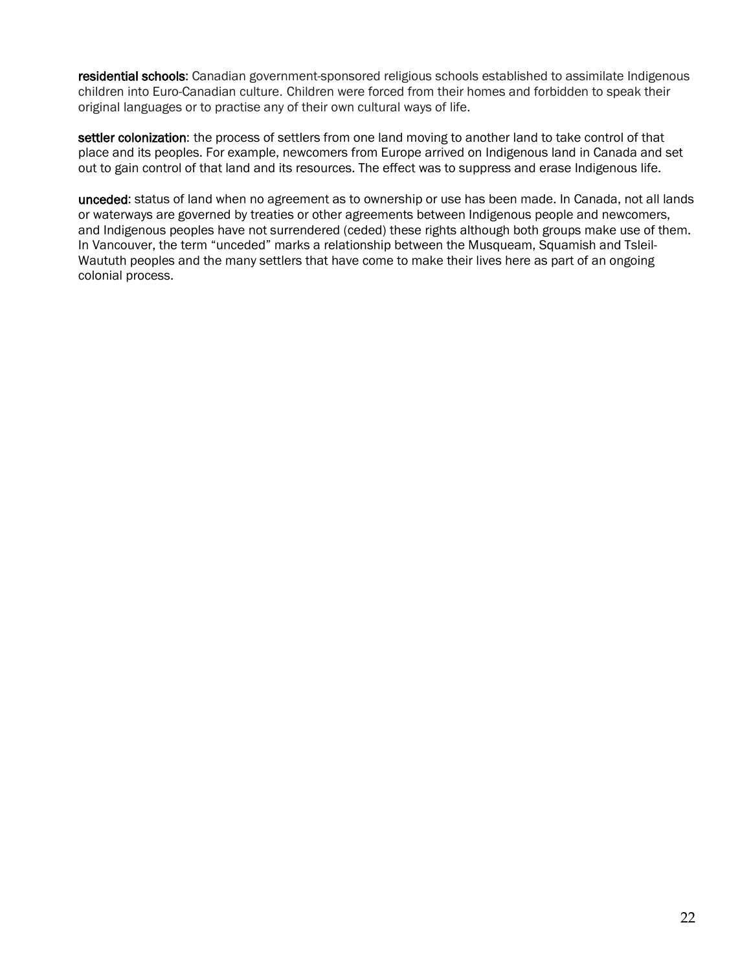residential schools: Canadian government-sponsored religious schools established to assimilate Indigenous children into Euro-Canadian culture. Children were forced from their homes and forbidden to speak their original languages or to practise any of their own cultural ways of life.

settler colonization: the process of settlers from one land moving to another land to take control of that place and its peoples. For example, newcomers from Europe arrived on Indigenous land in Canada and set out to gain control of that land and its resources. The effect was to suppress and erase Indigenous life.

unceded: status of land when no agreement as to ownership or use has been made. In Canada, not all lands or waterways are governed by treaties or other agreements between Indigenous people and newcomers, and Indigenous peoples have not surrendered (ceded) these rights although both groups make use of them. In Vancouver, the term "unceded" marks a relationship between the Musqueam, Squamish and Tsleil-Waututh peoples and the many settlers that have come to make their lives here as part of an ongoing colonial process.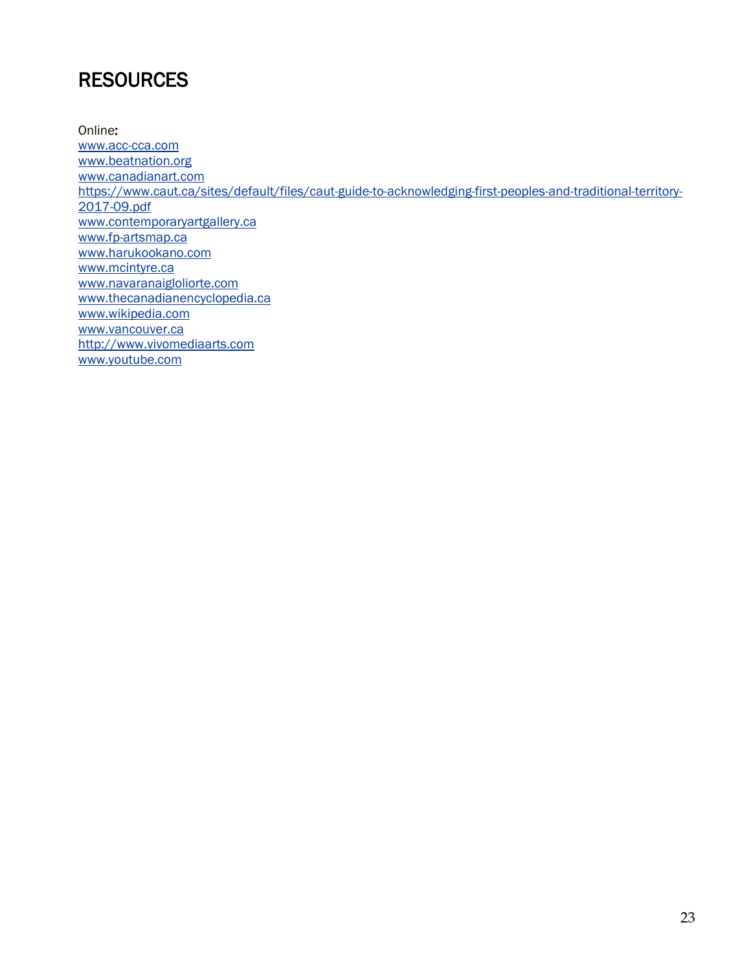## **RESOURCES**

Online: [www.acc-cca.com](http://www.acc-cca.com/) [www.beatnation.org](http://canadianart.ca/) [www.canadianart.com](http://www.canadianart.com/) [https://www.caut.ca/sites/default/files/caut-guide-to-acknowledging-first-peoples-and-traditional-territory-](https://www.caut.ca/sites/default/files/caut-guide-to-acknowledging-first-peoples-and-traditional-territory-2017-09.pdf)[2017-09.pdf](https://www.caut.ca/sites/default/files/caut-guide-to-acknowledging-first-peoples-and-traditional-territory-2017-09.pdf) [www.contemporaryartgallery.ca](http://www.contemporaryartgallery.ca/) [www.fp-artsmap.ca](http://www.fp-artsmap.ca/) [www.harukookano.com](http://www.harukookano.com/) [www.mcintyre.ca](http://www.mcintyre.ca/) [www.navaranaigloliorte.com](http://www.navaranaigloliorte.com/) [www.thecanadianencyclopedia.ca](http://www.thecanadianencyclopedia.ca/) [www.wikipedia.com](http://www.wikipedia.com/) [www.vancouver.ca](http://www.vancouver.ca/) [http://www.vivomediaarts.com](http://www.vivomediaarts.com/) [www.youtube.com](http://www.youtube.com/)